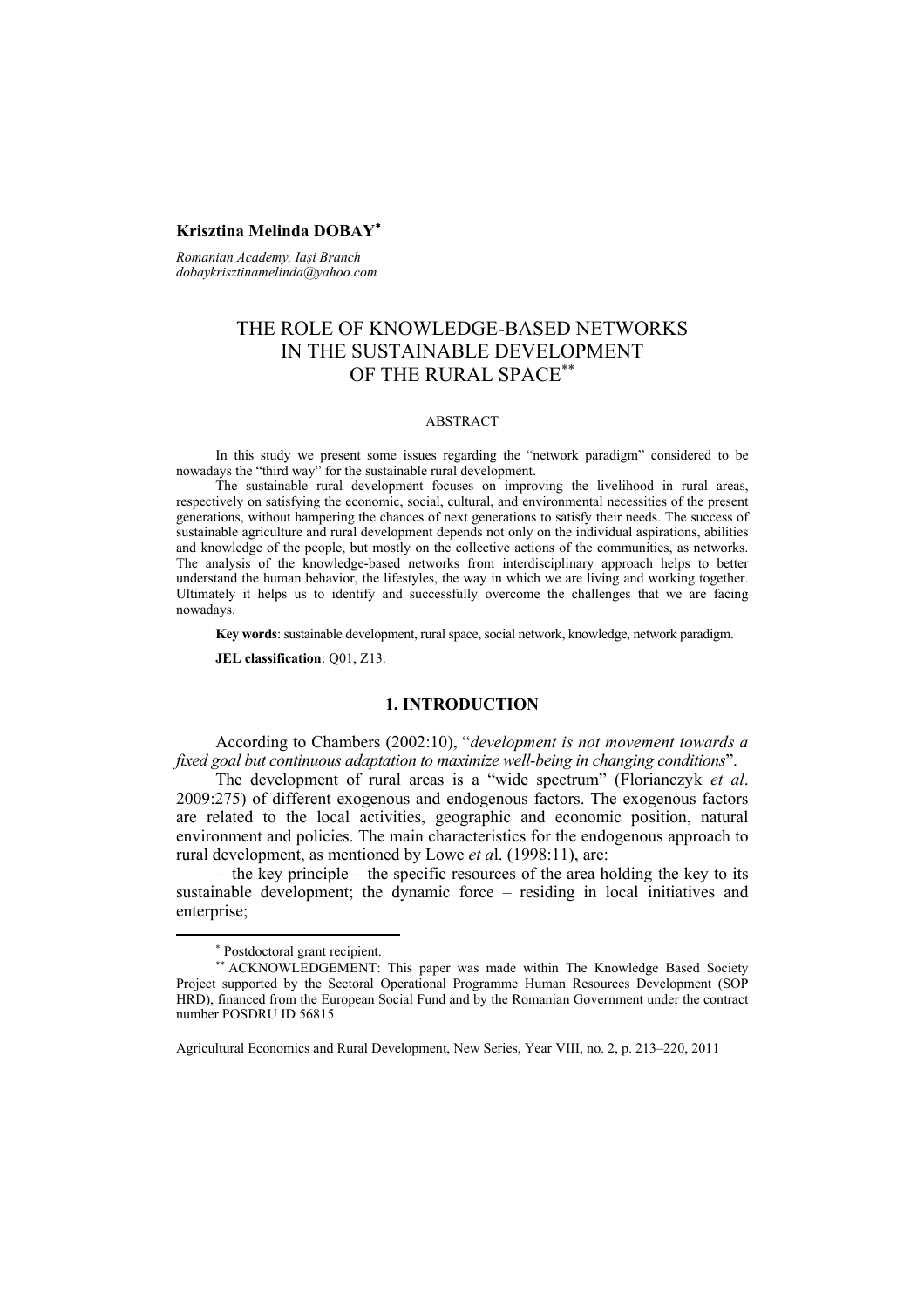### **Krisztina Melinda DOBAY**<sup>∗</sup>

*Romanian Academy, Iaşi Branch dobaykrisztinamelinda@yahoo.com*

# THE ROLE OF KNOWLEDGE-BASED NETWORKS IN THE SUSTAINABLE DEVELOPMENT OF THE RURAL SPACE∗∗

#### ABSTRACT

In this study we present some issues regarding the "network paradigm" considered to be nowadays the "third way" for the sustainable rural development.

The sustainable rural development focuses on improving the livelihood in rural areas, respectively on satisfying the economic, social, cultural, and environmental necessities of the present generations, without hampering the chances of next generations to satisfy their needs. The success of sustainable agriculture and rural development depends not only on the individual aspirations, abilities and knowledge of the people, but mostly on the collective actions of the communities, as networks. The analysis of the knowledge-based networks from interdisciplinary approach helps to better understand the human behavior, the lifestyles, the way in which we are living and working together. Ultimately it helps us to identify and successfully overcome the challenges that we are facing nowadays.

**Key words**: sustainable development, rural space, social network, knowledge, network paradigm.

**JEL classification**: Q01, Z13.

### **1. INTRODUCTION**

According to Chambers (2002:10), "*development is not movement towards a fixed goal but continuous adaptation to maximize well-being in changing conditions*".

The development of rural areas is a "wide spectrum" (Florianczyk *et al*. 2009:275) of different exogenous and endogenous factors. The exogenous factors are related to the local activities, geographic and economic position, natural environment and policies. The main characteristics for the endogenous approach to rural development, as mentioned by Lowe *et a*l. (1998:11), are:

– the key principle – the specific resources of the area holding the key to its sustainable development; the dynamic force – residing in local initiatives and enterprise;

<sup>∗</sup> Postdoctoral grant recipient.

<sup>∗∗</sup> ACKNOWLEDGEMENT: This paper was made within The Knowledge Based Society Project supported by the Sectoral Operational Programme Human Resources Development (SOP HRD), financed from the European Social Fund and by the Romanian Government under the contract number POSDRU ID 56815.

Agricultural Economics and Rural Development, New Series, Year VIII, no. 2, p. 213–220, 2011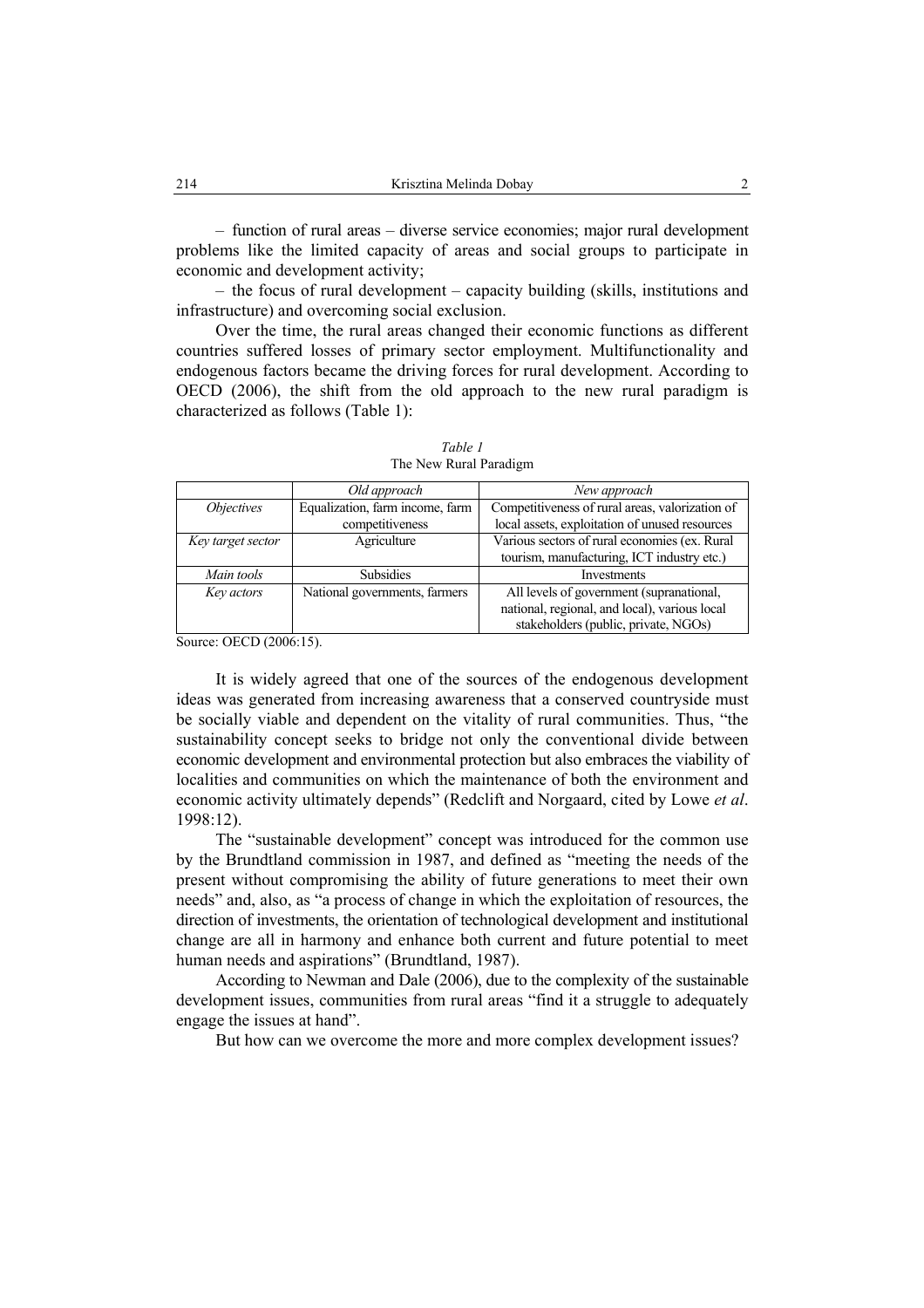– function of rural areas – diverse service economies; major rural development problems like the limited capacity of areas and social groups to participate in economic and development activity;

– the focus of rural development – capacity building (skills, institutions and infrastructure) and overcoming social exclusion.

Over the time, the rural areas changed their economic functions as different countries suffered losses of primary sector employment. Multifunctionality and endogenous factors became the driving forces for rural development. According to OECD (2006), the shift from the old approach to the new rural paradigm is characterized as follows (Table 1):

|                          | Old approach                                                 | New approach                                    |
|--------------------------|--------------------------------------------------------------|-------------------------------------------------|
| <i><b>Objectives</b></i> | Equalization, farm income, farm                              | Competitiveness of rural areas, valorization of |
|                          | competitiveness                                              | local assets, exploitation of unused resources  |
| Key target sector        | Various sectors of rural economies (ex. Rural<br>Agriculture |                                                 |
|                          |                                                              | tourism, manufacturing, ICT industry etc.)      |
| Main tools               | <b>Subsidies</b>                                             | Investments                                     |
| Key actors               | National governments, farmers                                | All levels of government (supranational,        |
|                          |                                                              | national, regional, and local), various local   |
|                          |                                                              | stakeholders (public, private, NGOs)            |

*Table 1*  The New Rural Paradigm

Source: OECD (2006:15).

It is widely agreed that one of the sources of the endogenous development ideas was generated from increasing awareness that a conserved countryside must be socially viable and dependent on the vitality of rural communities. Thus, "the sustainability concept seeks to bridge not only the conventional divide between economic development and environmental protection but also embraces the viability of localities and communities on which the maintenance of both the environment and economic activity ultimately depends" (Redclift and Norgaard, cited by Lowe *et al*. 1998:12).

The "sustainable development" concept was introduced for the common use by the Brundtland commission in 1987, and defined as "meeting the needs of the present without compromising the ability of future generations to meet their own needs" and, also, as "a process of change in which the exploitation of resources, the direction of investments, the orientation of technological development and institutional change are all in harmony and enhance both current and future potential to meet human needs and aspirations" (Brundtland, 1987).

According to Newman and Dale (2006), due to the complexity of the sustainable development issues, communities from rural areas "find it a struggle to adequately engage the issues at hand".

But how can we overcome the more and more complex development issues?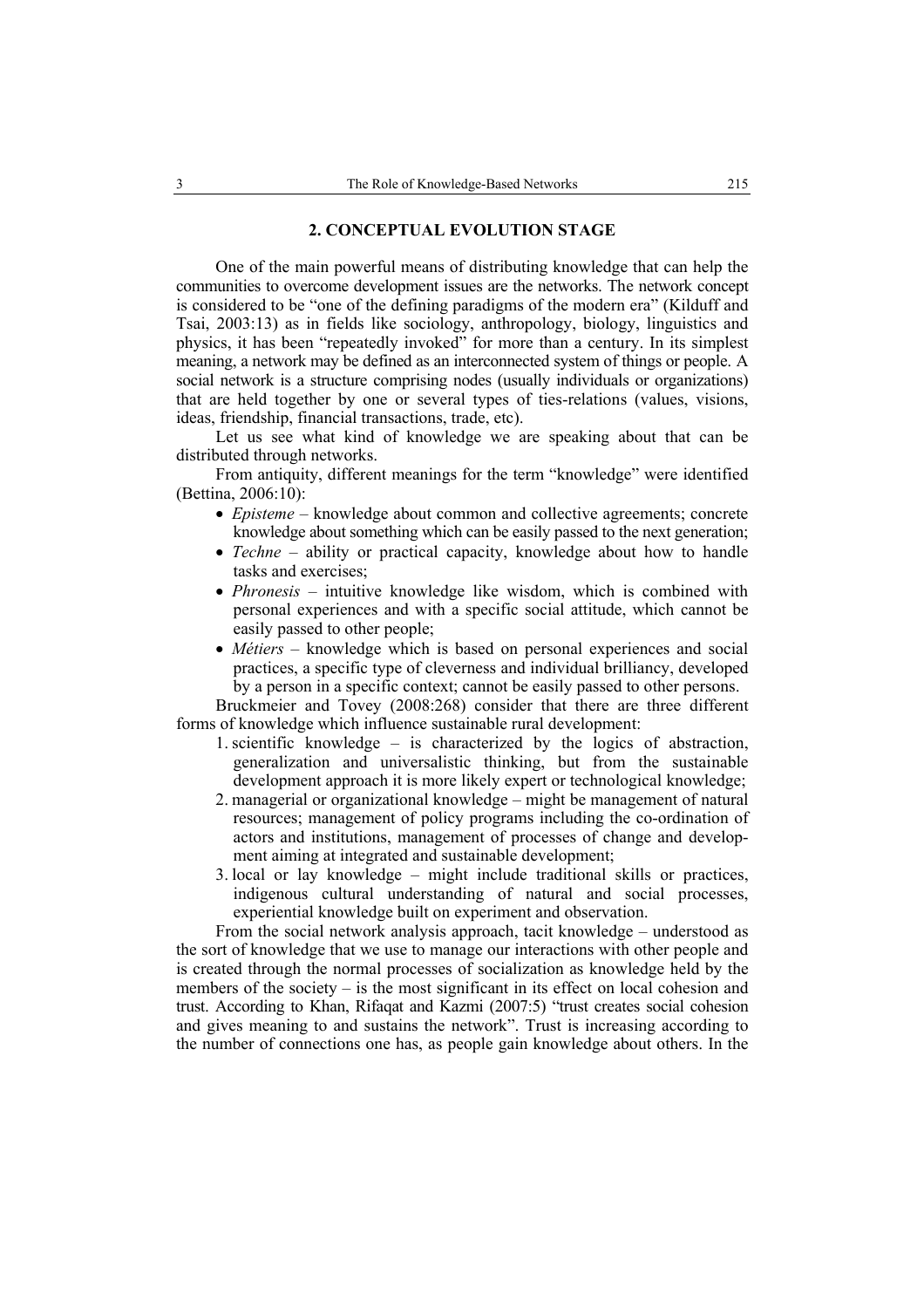### **2. CONCEPTUAL EVOLUTION STAGE**

One of the main powerful means of distributing knowledge that can help the communities to overcome development issues are the networks. The network concept is considered to be "one of the defining paradigms of the modern era" (Kilduff and Tsai, 2003:13) as in fields like sociology, anthropology, biology, linguistics and physics, it has been "repeatedly invoked" for more than a century. In its simplest meaning, a network may be defined as an interconnected system of things or people. A social network is a structure comprising nodes (usually individuals or organizations) that are held together by one or several types of ties-relations (values, visions, ideas, friendship, financial transactions, trade, etc).

Let us see what kind of knowledge we are speaking about that can be distributed through networks.

From antiquity, different meanings for the term "knowledge" were identified (Bettina, 2006:10):

- *Episteme* knowledge about common and collective agreements; concrete knowledge about something which can be easily passed to the next generation;
- *Techne* ability or practical capacity, knowledge about how to handle tasks and exercises;
- *Phronesis* intuitive knowledge like wisdom, which is combined with personal experiences and with a specific social attitude, which cannot be easily passed to other people;
- *Métiers* knowledge which is based on personal experiences and social practices, a specific type of cleverness and individual brilliancy, developed by a person in a specific context; cannot be easily passed to other persons.

Bruckmeier and Tovey (2008:268) consider that there are three different forms of knowledge which influence sustainable rural development:

- 1. scientific knowledge is characterized by the logics of abstraction, generalization and universalistic thinking, but from the sustainable development approach it is more likely expert or technological knowledge;
- 2. managerial or organizational knowledge might be management of natural resources; management of policy programs including the co-ordination of actors and institutions, management of processes of change and development aiming at integrated and sustainable development;
- 3. local or lay knowledge might include traditional skills or practices, indigenous cultural understanding of natural and social processes, experiential knowledge built on experiment and observation.

From the social network analysis approach, tacit knowledge – understood as the sort of knowledge that we use to manage our interactions with other people and is created through the normal processes of socialization as knowledge held by the members of the society – is the most significant in its effect on local cohesion and trust. According to Khan, Rifaqat and Kazmi (2007:5) "trust creates social cohesion and gives meaning to and sustains the network". Trust is increasing according to the number of connections one has, as people gain knowledge about others. In the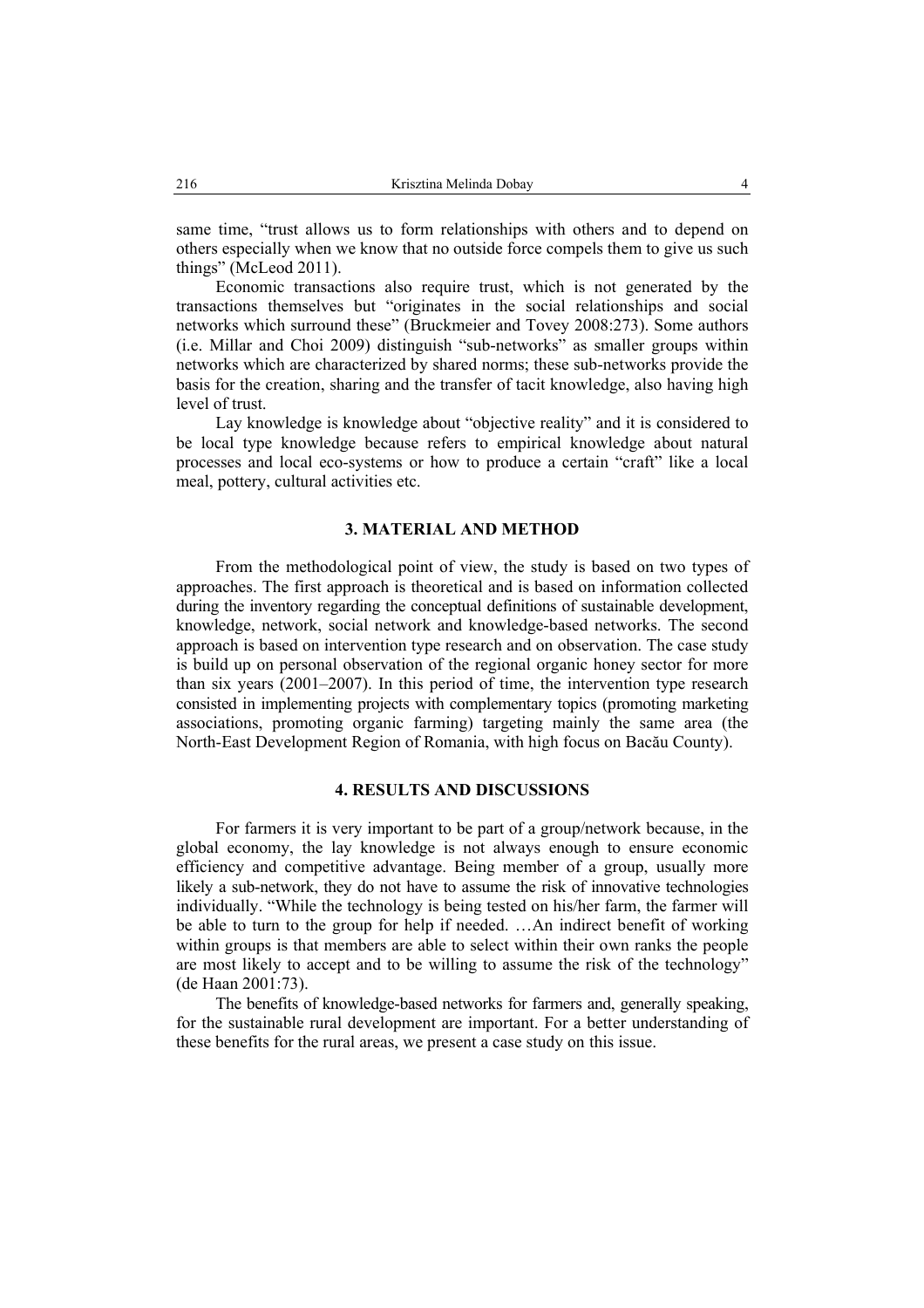same time, "trust allows us to form relationships with others and to depend on others especially when we know that no outside force compels them to give us such things" (McLeod 2011).

Economic transactions also require trust, which is not generated by the transactions themselves but "originates in the social relationships and social networks which surround these" (Bruckmeier and Tovey 2008:273). Some authors (i.e. Millar and Choi 2009) distinguish "sub-networks" as smaller groups within networks which are characterized by shared norms; these sub-networks provide the basis for the creation, sharing and the transfer of tacit knowledge, also having high level of trust.

Lay knowledge is knowledge about "objective reality" and it is considered to be local type knowledge because refers to empirical knowledge about natural processes and local eco-systems or how to produce a certain "craft" like a local meal, pottery, cultural activities etc.

# **3. MATERIAL AND METHOD**

From the methodological point of view, the study is based on two types of approaches. The first approach is theoretical and is based on information collected during the inventory regarding the conceptual definitions of sustainable development, knowledge, network, social network and knowledge-based networks. The second approach is based on intervention type research and on observation. The case study is build up on personal observation of the regional organic honey sector for more than six years (2001–2007). In this period of time, the intervention type research consisted in implementing projects with complementary topics (promoting marketing associations, promoting organic farming) targeting mainly the same area (the North-East Development Region of Romania, with high focus on Bacău County).

## **4. RESULTS AND DISCUSSIONS**

For farmers it is very important to be part of a group/network because, in the global economy, the lay knowledge is not always enough to ensure economic efficiency and competitive advantage. Being member of a group, usually more likely a sub-network, they do not have to assume the risk of innovative technologies individually. "While the technology is being tested on his/her farm, the farmer will be able to turn to the group for help if needed. …An indirect benefit of working within groups is that members are able to select within their own ranks the people are most likely to accept and to be willing to assume the risk of the technology" (de Haan 2001:73).

The benefits of knowledge-based networks for farmers and, generally speaking, for the sustainable rural development are important. For a better understanding of these benefits for the rural areas, we present a case study on this issue.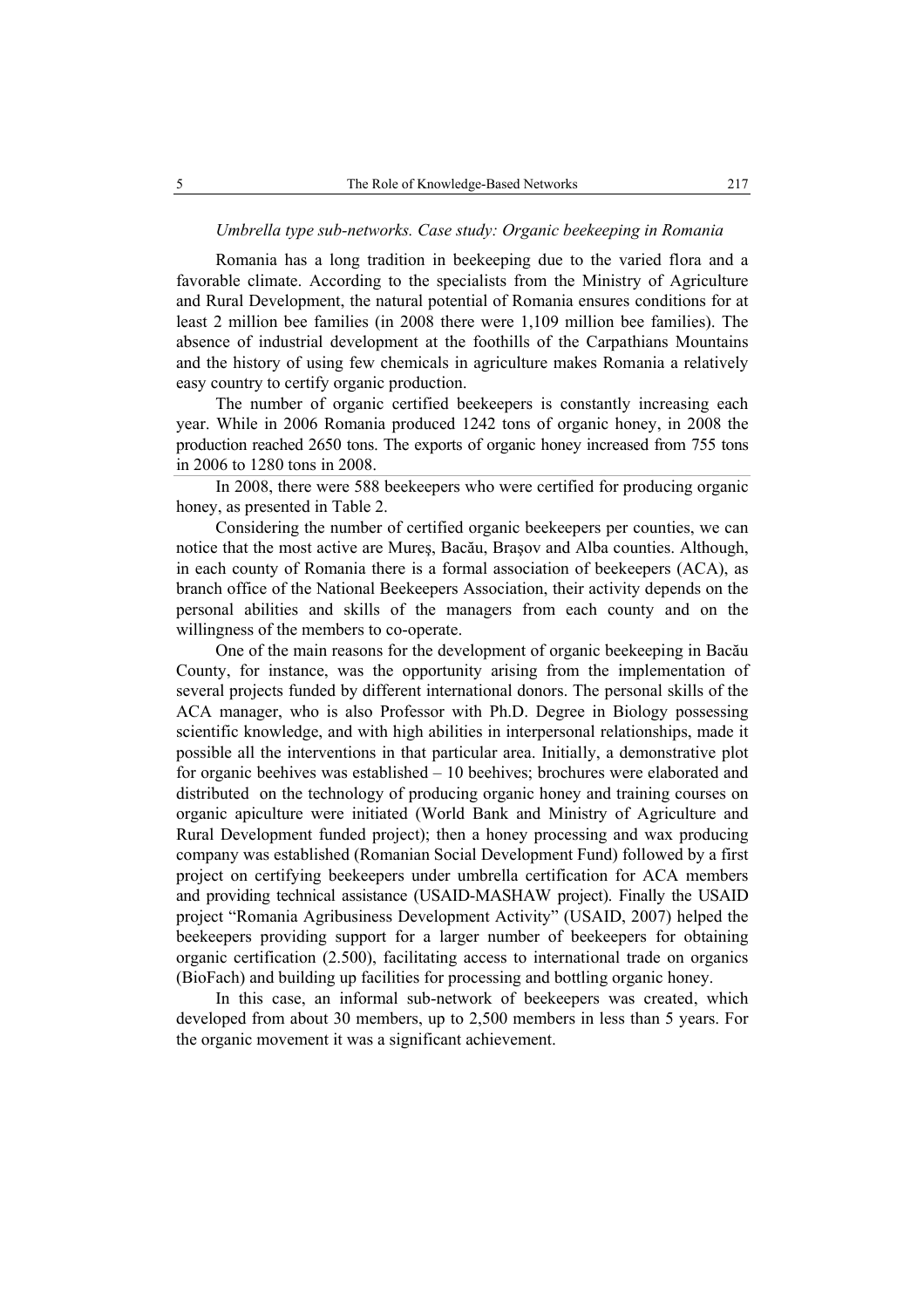### *Umbrella type sub-networks. Case study: Organic beekeeping in Romania*

Romania has a long tradition in beekeeping due to the varied flora and a favorable climate. According to the specialists from the Ministry of Agriculture and Rural Development, the natural potential of Romania ensures conditions for at least 2 million bee families (in 2008 there were 1,109 million bee families). The absence of industrial development at the foothills of the Carpathians Mountains and the history of using few chemicals in agriculture makes Romania a relatively easy country to certify organic production.

The number of organic certified beekeepers is constantly increasing each year. While in 2006 Romania produced 1242 tons of organic honey, in 2008 the production reached 2650 tons. The exports of organic honey increased from 755 tons in 2006 to 1280 tons in 2008.

In 2008, there were 588 beekeepers who were certified for producing organic honey, as presented in Table 2.

Considering the number of certified organic beekeepers per counties, we can notice that the most active are Mureş, Bacău, Braşov and Alba counties. Although, in each county of Romania there is a formal association of beekeepers (ACA), as branch office of the National Beekeepers Association, their activity depends on the personal abilities and skills of the managers from each county and on the willingness of the members to co-operate.

One of the main reasons for the development of organic beekeeping in Bacău County, for instance, was the opportunity arising from the implementation of several projects funded by different international donors. The personal skills of the ACA manager, who is also Professor with Ph.D. Degree in Biology possessing scientific knowledge, and with high abilities in interpersonal relationships, made it possible all the interventions in that particular area. Initially, a demonstrative plot for organic beehives was established – 10 beehives; brochures were elaborated and distributed on the technology of producing organic honey and training courses on organic apiculture were initiated (World Bank and Ministry of Agriculture and Rural Development funded project); then a honey processing and wax producing company was established (Romanian Social Development Fund) followed by a first project on certifying beekeepers under umbrella certification for ACA members and providing technical assistance (USAID-MASHAW project). Finally the USAID project "Romania Agribusiness Development Activity" (USAID, 2007) helped the beekeepers providing support for a larger number of beekeepers for obtaining organic certification (2.500), facilitating access to international trade on organics (BioFach) and building up facilities for processing and bottling organic honey.

In this case, an informal sub-network of beekeepers was created, which developed from about 30 members, up to 2,500 members in less than 5 years. For the organic movement it was a significant achievement.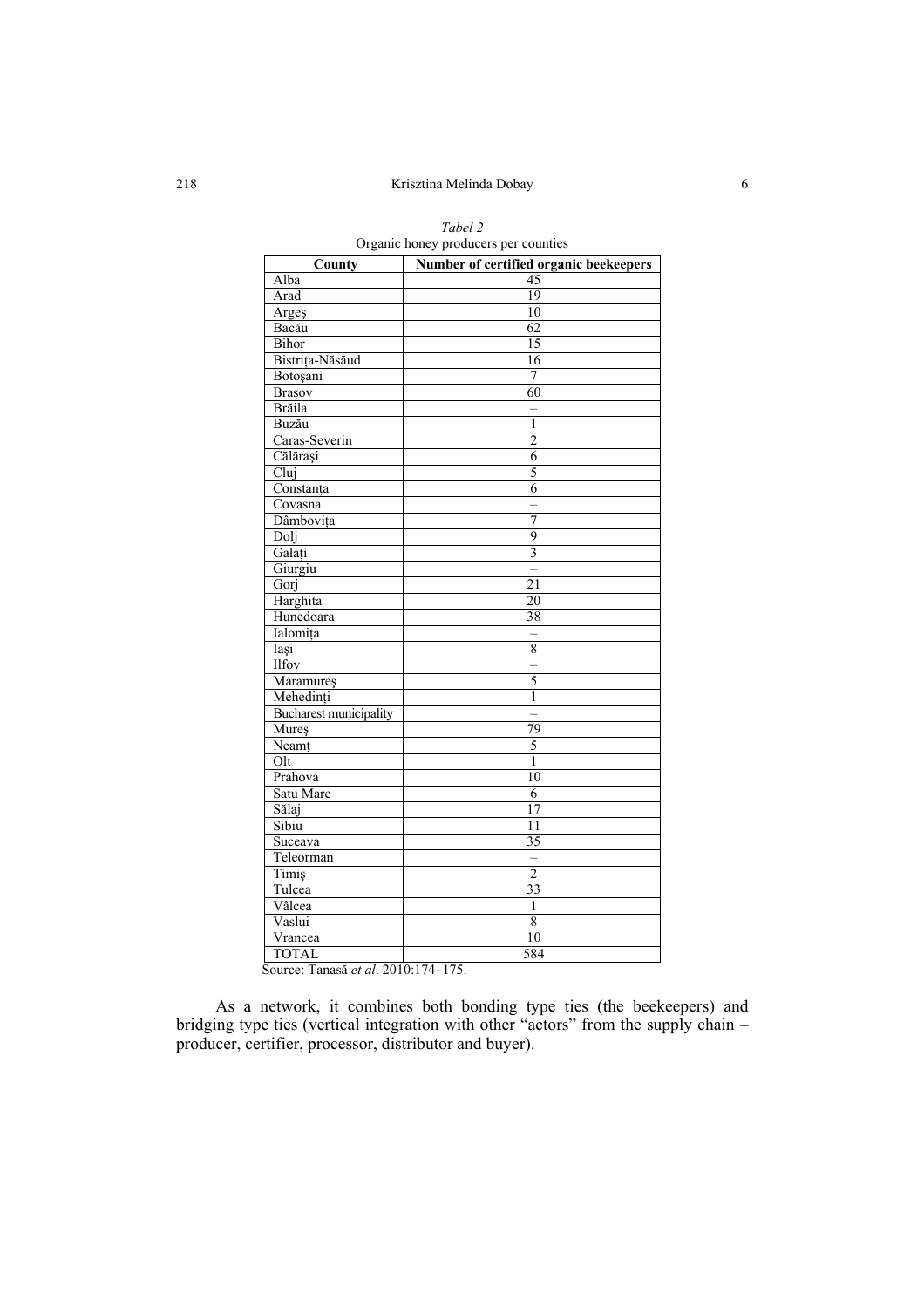| County                        | Number of certified organic beekeepers |
|-------------------------------|----------------------------------------|
| Alba                          | 45                                     |
| Arad                          | 19                                     |
| Argeş                         | 10                                     |
| Bacău                         | 62                                     |
| Bihor                         | 15                                     |
| Bistrița-Năsăud               | 16                                     |
| Botoșani                      | 7                                      |
| Brașov                        | 60                                     |
| <b>Brăila</b>                 |                                        |
| Buzău                         | $\overline{1}$                         |
| Caraș-Severin                 | $\overline{2}$                         |
| Călărași                      | 6                                      |
| Clui                          | 5                                      |
| Constanța                     | $\overline{6}$                         |
| Covasna                       | $\overline{a}$                         |
| Dâmbovița                     | 7                                      |
| Dolj                          | 9                                      |
| Galați                        | $\overline{\mathbf{3}}$                |
| Giurgiu                       |                                        |
| Gorj                          | $\overline{21}$                        |
| Harghita                      | $\overline{20}$                        |
| Hunedoara                     | $\overline{38}$                        |
| Ialomița                      | $\overline{\phantom{0}}$               |
| Iași                          | 8                                      |
| Ilfov                         | $\overline{a}$                         |
| Maramureş                     | 5                                      |
| Mehedinți                     | $\mathbf{1}$                           |
| <b>Bucharest municipality</b> | $\overline{a}$                         |
| Mureș                         | 79                                     |
| Neamț                         | 5                                      |
| O <sub>l</sub>                | $\overline{1}$                         |
| Prahova                       | 10                                     |
| Satu Mare                     | $\overline{6}$                         |
| Sălaj                         | $\overline{17}$                        |
| Sibiu                         | 11                                     |
| Suceava                       | $\overline{35}$                        |
| Teleorman                     |                                        |
| Timiş                         | $\overline{2}$                         |
| Tulcea                        | 33                                     |
| Vâlcea                        | $\mathbf{1}$                           |
| Vaslui                        | 8                                      |
| Vrancea                       | 10                                     |
| <b>TOTAL</b>                  | 584                                    |

*Tabel 2*  Organic honey producers per counties

Source: Tanasă *et al*. 2010:174–175.

As a network, it combines both bonding type ties (the beekeepers) and bridging type ties (vertical integration with other "actors" from the supply chain – producer, certifier, processor, distributor and buyer).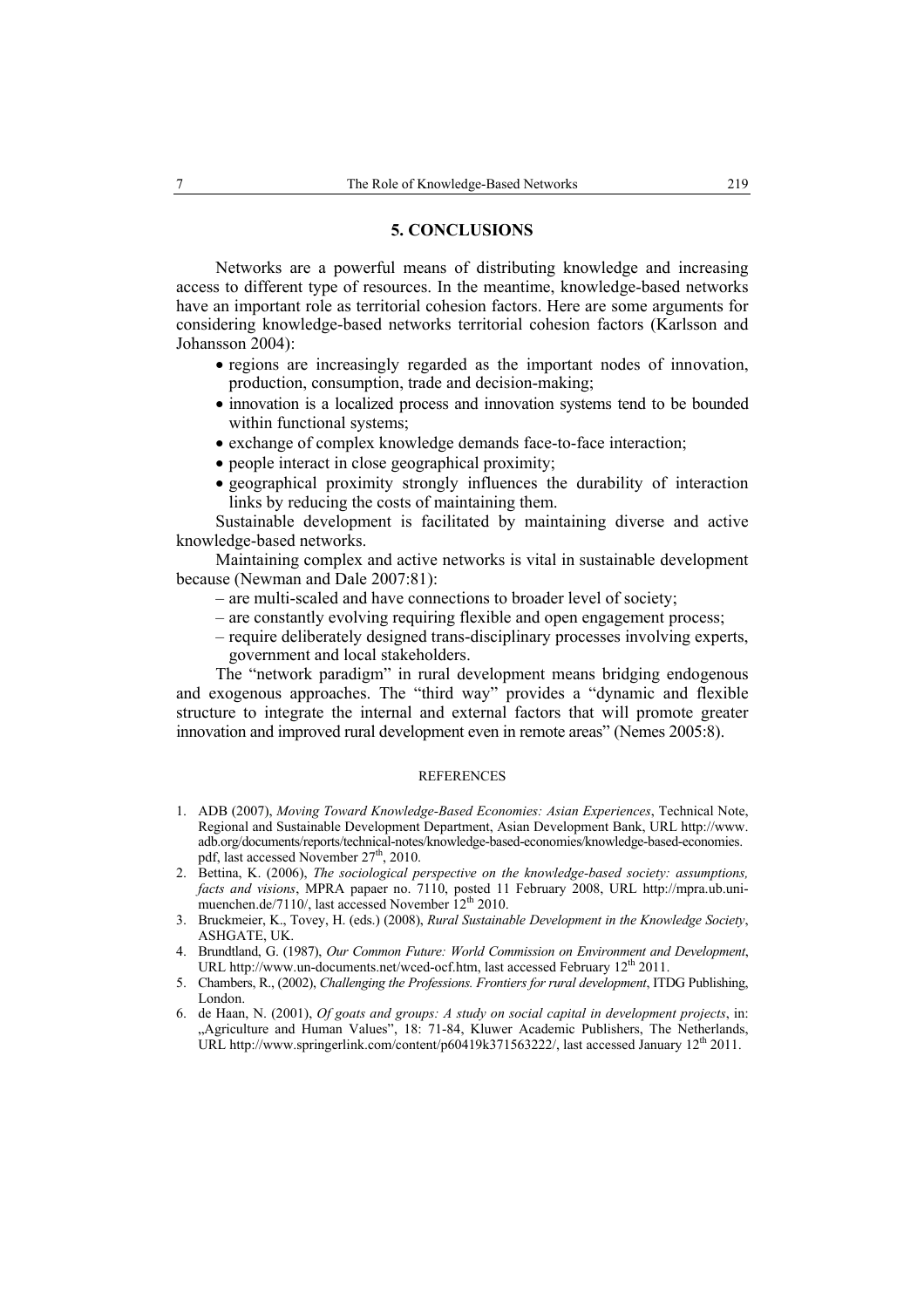### **5. CONCLUSIONS**

Networks are a powerful means of distributing knowledge and increasing access to different type of resources. In the meantime, knowledge-based networks have an important role as territorial cohesion factors. Here are some arguments for considering knowledge-based networks territorial cohesion factors (Karlsson and Johansson 2004):

- regions are increasingly regarded as the important nodes of innovation, production, consumption, trade and decision-making;
- innovation is a localized process and innovation systems tend to be bounded within functional systems:
- exchange of complex knowledge demands face-to-face interaction;
- people interact in close geographical proximity;
- geographical proximity strongly influences the durability of interaction links by reducing the costs of maintaining them.

Sustainable development is facilitated by maintaining diverse and active knowledge-based networks.

Maintaining complex and active networks is vital in sustainable development because (Newman and Dale 2007:81):

- are multi-scaled and have connections to broader level of society;
- are constantly evolving requiring flexible and open engagement process;
- require deliberately designed trans-disciplinary processes involving experts, government and local stakeholders.

The "network paradigm" in rural development means bridging endogenous and exogenous approaches. The "third way" provides a "dynamic and flexible structure to integrate the internal and external factors that will promote greater innovation and improved rural development even in remote areas" (Nemes 2005:8).

### **REFERENCES**

- 1. ADB (2007), *Moving Toward Knowledge-Based Economies: Asian Experiences*, Technical Note, Regional and Sustainable Development Department, Asian Development Bank, URL http://www. adb.org/documents/reports/technical-notes/knowledge-based-economies/knowledge-based-economies. pdf, last accessed November 27<sup>th</sup>, 2010.
- 2. Bettina, K. (2006), *The sociological perspective on the knowledge-based society: assumptions, facts and visions*, MPRA papaer no. 7110, posted 11 February 2008, URL http://mpra.ub.unimuenchen.de/7110/, last accessed November 12<sup>th</sup> 2010.
- 3. Bruckmeier, K., Tovey, H. (eds.) (2008), *Rural Sustainable Development in the Knowledge Society*, ASHGATE, UK.
- 4. Brundtland, G. (1987), *Our Common Future: World Commission on Environment and Development*, URL http://www.un-documents.net/wced-ocf.htm, last accessed February 12<sup>th</sup> 2011.
- 5. Chambers, R., (2002), *Challenging the Professions. Frontiers for rural development*, ITDG Publishing, London.
- 6. de Haan, N. (2001), *Of goats and groups: A study on social capital in development projects*, in: "Agriculture and Human Values", 18: 71-84, Kluwer Academic Publishers, The Netherlands, URL http://www.springerlink.com/content/p60419k371563222/, last accessed January 12<sup>th</sup> 2011.